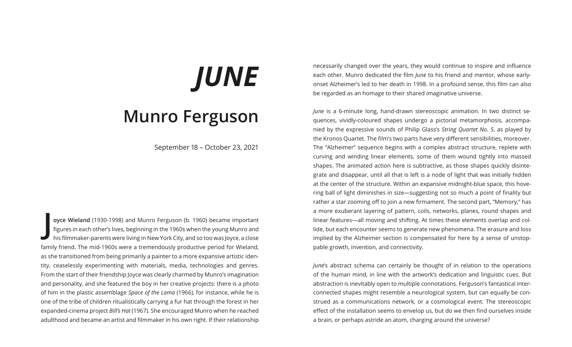## *JUNE* **Munro Ferguson**

September 18 – October 23, 2021

**J oyce Wieland** (1930-1998) and Munro Ferguson (b. 1960) became important figures in each other's lives, beginning in the 1960s when the young Munro and his filmmaker-parents were living in New York City, and so too was Joyce, a close family friend. The mid-1960s were a tremendously productive period for Wieland, as she transitioned from being primarily a painter to a more expansive artistic identity, ceaselessly experimenting with materials, media, technologies and genres. From the start of their friendship Joyce was clearly charmed by Munro's imagination and personality, and she featured the boy in her creative projects: there is a photo of him in the plastic assemblage *Space of the Lama* (1966), for instance, while he is one of the tribe of children ritualistically carrying a fur hat through the forest in her expanded-cinema project *Bill's Hat* (1967). She encouraged Munro when he reached adulthood and became an artist and filmmaker in his own right. If their relationship necessarily changed over the years, they would continue to inspire and influence each other. Munro dedicated the film *June* to his friend and mentor, whose earlyonset Alzheimer's led to her death in 1998. In a profound sense, this film can also be regarded as an homage to their shared imaginative universe.

*June* is a 6-minute long, hand-drawn stereoscopic animation. In two distinct sequences, vividly-coloured shapes undergo a pictorial metamorphosis, accompanied by the expressive sounds of Philip Glass's *String Quartet No. 5*, as played by the Kronos Quartet. The film's two parts have very different sensibilities, moreover. The "Alzheimer" sequence begins with a complex abstract structure, replete with curving and winding linear elements, some of them wound tightly into massed shapes. The animated action here is subtractive, as those shapes quickly disintegrate and disappear, until all that is left is a node of light that was initially hidden at the center of the structure. Within an expansive midnight-blue space, this hovering ball of light diminishes in size—suggesting not so much a point of finality but rather a star zooming off to join a new firmament. The second part, "Memory," has a more exuberant layering of pattern, coils, networks, planes, round shapes and linear features—all moving and shifting. At times these elements overlap and collide, but each encounter seems to generate new phenomena. The erasure and loss implied by the Alzheimer section is compensated for here by a sense of unstoppable growth, invention, and connectivity.

*June*'s abstract schema can certainly be thought of in relation to the operations of the human mind, in line with the artwork's dedication and linguistic cues. But abstraction is inevitably open to multiple connotations. Ferguson's fantastical interconnected shapes might resemble a neurological system, but can equally be construed as a communications network, or a cosmological event. The stereoscopic effect of the installation seems to envelop us, but do we then find ourselves inside a brain, or perhaps astride an atom, charging around the universe?